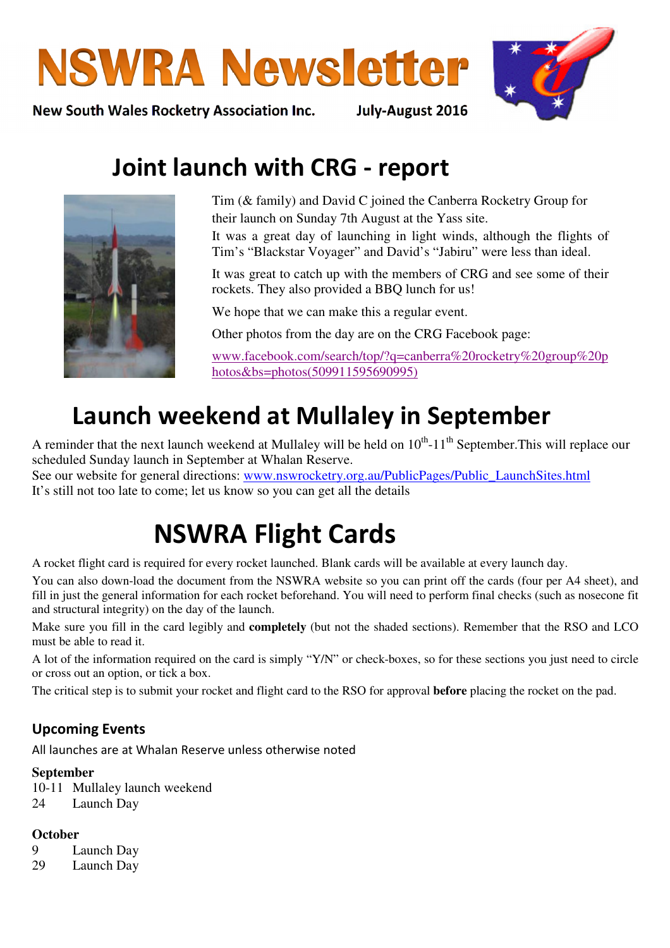

New South Wales Rocketry Association Inc. July-August 2016

## Joint launch with CRG - report



Tim (& family) and David C joined the Canberra Rocketry Group for their launch on Sunday 7th August at the Yass site. It was a great day of launching in light winds, although the flights of

Tim's "Blackstar Voyager" and David's "Jabiru" were less than ideal.

It was great to catch up with the members of CRG and see some of their rockets. They also provided a BBQ lunch for us!

We hope that we can make this a regular event.

Other photos from the day are on the CRG Facebook page:

www.facebook.com/search/top/?q=canberra%20rocketry%20group%20p hotos&bs=photos(509911595690995)

# Launch weekend at Mullaley in September

A reminder that the next launch weekend at Mullaley will be held on  $10^{th}$ -11<sup>th</sup> September. This will replace our scheduled Sunday launch in September at Whalan Reserve. See our website for general directions: www.nswrocketry.org.au/PublicPages/Public\_LaunchSites.html It's still not too late to come; let us know so you can get all the details

# NSWRA Flight Cards

A rocket flight card is required for every rocket launched. Blank cards will be available at every launch day.

You can also down-load the document from the NSWRA website so you can print off the cards (four per A4 sheet), and fill in just the general information for each rocket beforehand. You will need to perform final checks (such as nosecone fit and structural integrity) on the day of the launch.

Make sure you fill in the card legibly and **completely** (but not the shaded sections). Remember that the RSO and LCO must be able to read it.

A lot of the information required on the card is simply "Y/N" or check-boxes, so for these sections you just need to circle or cross out an option, or tick a box.

The critical step is to submit your rocket and flight card to the RSO for approval **before** placing the rocket on the pad.

#### Upcoming Events

All launches are at Whalan Reserve unless otherwise noted

#### **September**

10-11 Mullaley launch weekend 24 Launch Day

#### **October**

9 Launch Day

29 Launch Day